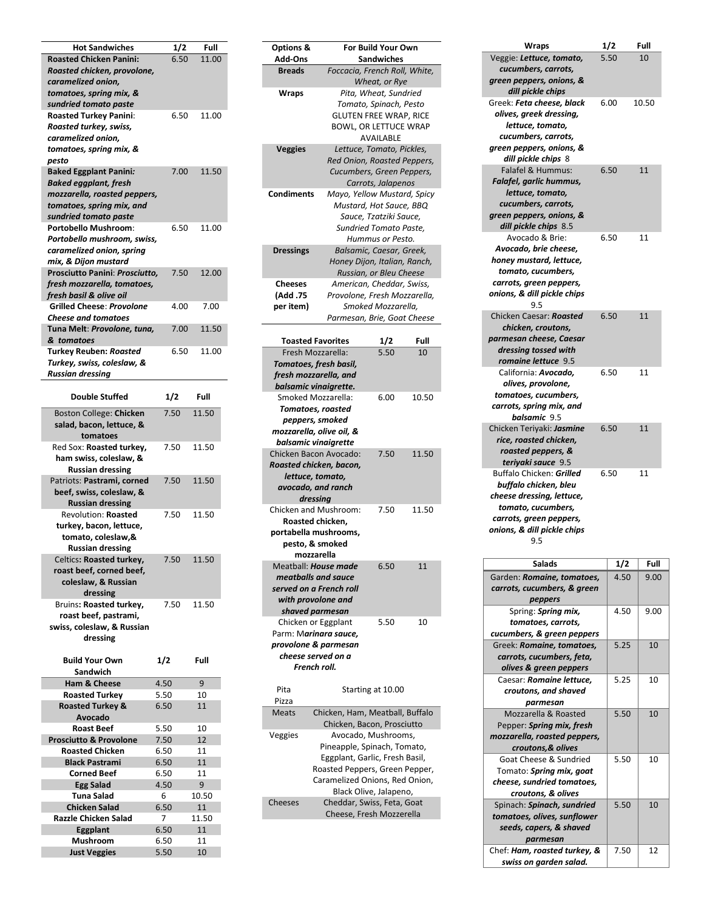|                                   | 1/2          | Full        |
|-----------------------------------|--------------|-------------|
| <b>Roasted Chicken Panini:</b>    | 6.50         | 11.00       |
| Roasted chicken, provolone,       |              |             |
| caramelized onion,                |              |             |
| tomatoes, spring mix, &           |              |             |
| sundried tomato paste             |              |             |
| <b>Roasted Turkey Panini:</b>     | 6.50         | 11.00       |
| Roasted turkey, swiss,            |              |             |
| caramelized onion,                |              |             |
| tomatoes, spring mix, &           |              |             |
| pesto                             |              |             |
| <b>Baked Eggplant Panini:</b>     | 7.00         | 11.50       |
| <b>Baked eggplant, fresh</b>      |              |             |
| mozzarella, roasted peppers,      |              |             |
|                                   |              |             |
| tomatoes, spring mix, and         |              |             |
| sundried tomato paste             |              |             |
| Portobello Mushroom:              | 6.50         | 11.00       |
| Portobello mushroom, swiss,       |              |             |
| caramelized onion, spring         |              |             |
| mix, & Dijon mustard              |              |             |
| Prosciutto Panini: Prosciutto,    | 7.50         | 12.00       |
| fresh mozzarella, tomatoes,       |              |             |
| fresh basil & olive oil           |              |             |
| <b>Grilled Cheese: Provolone</b>  | 4.00         | 7.00        |
| <b>Cheese and tomatoes</b>        |              |             |
| Tuna Melt: Provolone, tuna,       | 7.00         | 11.50       |
| & tomatoes                        |              |             |
| Turkey Reuben: Roasted            | 6.50         | 11.00       |
| Turkey, swiss, coleslaw, &        |              |             |
| Russian dressing                  |              |             |
|                                   |              |             |
| <b>Double Stuffed</b>             | 1/2          | Full        |
|                                   |              |             |
| Boston College: Chicken           | 7.50         | 11.50       |
| salad, bacon, lettuce, &          |              |             |
| tomatoes                          |              |             |
| Red Sox: Roasted turkey,          | 7.50         | 11.50       |
| ham swiss, coleslaw, &            |              |             |
| <b>Russian dressing</b>           |              |             |
| Patriots: Pastrami, corned        | 7.50         | 11.50       |
| beef, swiss, coleslaw, &          |              |             |
| <b>Russian dressing</b>           |              |             |
| Revolution: Roasted               | 7.50         | 11.50       |
| turkey, bacon, lettuce,           |              |             |
|                                   |              |             |
| tomato, coleslaw,&                |              |             |
| <b>Russian dressing</b>           |              |             |
| Celtics: Roasted turkey,          | 7.50         | 11.50       |
| roast beef, corned beef,          |              |             |
| coleslaw, & Russian               |              |             |
| dressing                          |              |             |
| Bruins: Roasted turkey,           | 7.50         | 11.50       |
| roast beef, pastrami,             |              |             |
| swiss, coleslaw, & Russian        |              |             |
| dressing                          |              |             |
|                                   |              |             |
| <b>Build Your Own</b>             | 1/2          | Full        |
| Sandwich                          |              |             |
| <b>Ham &amp; Cheese</b>           | 4.50         | 9           |
| <b>Roasted Turkey</b>             | 5.50         | 10          |
| <b>Roasted Turkey &amp;</b>       | 6.50         | 11          |
| Avocado                           |              |             |
| <b>Roast Beef</b>                 | 5.50         | 10          |
| <b>Prosciutto &amp; Provolone</b> | 7.50         | 12          |
| <b>Roasted Chicken</b>            | 6.50         | 11          |
| <b>Black Pastrami</b>             | 6.50         | 11          |
| <b>Corned Beef</b>                | 6.50         | 11          |
| <b>Egg Salad</b>                  | 4.50         | 9           |
| <b>Tuna Salad</b>                 | 6            |             |
|                                   |              | 10.50       |
| <b>Chicken Salad</b>              | 6.50         | 11          |
| <b>Razzle Chicken Salad</b>       | 7            | 11.50<br>11 |
| <b>Eggplant</b><br>Mushroom       | 6.50<br>6.50 | 11          |

| Options &                                   |                                                               | For Build Your Own                                      |       |  |
|---------------------------------------------|---------------------------------------------------------------|---------------------------------------------------------|-------|--|
| Add-Ons                                     |                                                               | <b>Sandwiches</b>                                       |       |  |
| <b>Breads</b>                               | Foccacia, French Roll, White,<br>Wheat, or Rye                |                                                         |       |  |
| Wraps                                       |                                                               | Pita, Wheat, Sundried                                   |       |  |
|                                             |                                                               | Tomato, Spinach, Pesto<br><b>GLUTEN FREE WRAP, RICE</b> |       |  |
|                                             |                                                               | <b>BOWL, OR LETTUCE WRAP</b>                            |       |  |
|                                             |                                                               | <b>AVAILABLE</b>                                        |       |  |
| <b>Veggies</b>                              |                                                               | Lettuce, Tomato, Pickles,                               |       |  |
|                                             | Red Onion, Roasted Peppers,                                   |                                                         |       |  |
|                                             | Cucumbers, Green Peppers,                                     |                                                         |       |  |
|                                             |                                                               | Carrots, Jalapenos                                      |       |  |
| <b>Condiments</b>                           | Mayo, Yellow Mustard, Spicy                                   |                                                         |       |  |
|                                             | Mustard, Hot Sauce, BBQ<br>Sauce, Tzatziki Sauce,             |                                                         |       |  |
|                                             |                                                               | <b>Sundried Tomato Paste,</b>                           |       |  |
|                                             |                                                               | Hummus or Pesto.                                        |       |  |
| <b>Dressings</b>                            |                                                               | Balsamic, Caesar, Greek,                                |       |  |
|                                             | Honey Dijon, Italian, Ranch,                                  |                                                         |       |  |
|                                             |                                                               | Russian, or Bleu Cheese                                 |       |  |
| <b>Cheeses</b><br>75. Add)                  | Provolone, Fresh Mozzarella,                                  | American, Cheddar, Swiss,                               |       |  |
| per item)                                   |                                                               | Smoked Mozzarella,                                      |       |  |
|                                             | Parmesan, Brie, Goat Cheese                                   |                                                         |       |  |
|                                             |                                                               |                                                         |       |  |
| <b>Toasted Favorites</b>                    |                                                               | 1/2                                                     | Full  |  |
| Fresh Mozzarella:                           |                                                               | 5.50                                                    | 10    |  |
| Tomatoes, fresh basil,                      |                                                               |                                                         |       |  |
| fresh mozzarella, and                       |                                                               |                                                         |       |  |
| balsamic vinaigrette.<br>Smoked Mozzarella: |                                                               | 6.00                                                    | 10.50 |  |
| <b>Tomatoes, roasted</b>                    |                                                               |                                                         |       |  |
| peppers, smoked                             |                                                               |                                                         |       |  |
| mozzarella, olive oil, &                    |                                                               |                                                         |       |  |
| balsamic vinaigrette                        |                                                               |                                                         |       |  |
| Chicken Bacon Avocado:                      |                                                               | 7.50                                                    | 11.50 |  |
| Roasted chicken, bacon,                     |                                                               |                                                         |       |  |
| lettuce, tomato,<br>avocado, and ranch      |                                                               |                                                         |       |  |
| dressing                                    |                                                               |                                                         |       |  |
| Chicken and Mushroom:                       |                                                               | 7.50                                                    | 11.50 |  |
| Roasted chicken,                            |                                                               |                                                         |       |  |
| portabella mushrooms,                       |                                                               |                                                         |       |  |
| pesto, & smoked<br>mozzarella               |                                                               |                                                         |       |  |
| Meatball: House made                        |                                                               | 6.50                                                    | 11    |  |
| meatballs and sauce                         |                                                               |                                                         |       |  |
| served on a French roll                     |                                                               |                                                         |       |  |
| with provolone and                          |                                                               |                                                         |       |  |
| shaved parmesan                             |                                                               |                                                         |       |  |
| Chicken or Eggplant                         |                                                               | 5.50                                                    | 10    |  |
| Parm: Marinara sauce,                       |                                                               |                                                         |       |  |
| provolone & parmesan<br>cheese served on a  |                                                               |                                                         |       |  |
| French roll.                                |                                                               |                                                         |       |  |
|                                             |                                                               |                                                         |       |  |
| Pita                                        |                                                               | Starting at 10.00                                       |       |  |
|                                             |                                                               |                                                         |       |  |
| Pizza                                       |                                                               |                                                         |       |  |
| <b>Meats</b>                                | Chicken, Ham, Meatball, Buffalo                               |                                                         |       |  |
|                                             | Chicken, Bacon, Prosciutto                                    |                                                         |       |  |
| Veggies                                     | Avocado, Mushrooms,                                           |                                                         |       |  |
|                                             | Pineapple, Spinach, Tomato,<br>Eggplant, Garlic, Fresh Basil, |                                                         |       |  |
|                                             | Roasted Peppers, Green Pepper,                                |                                                         |       |  |
|                                             | Caramelized Onions, Red Onion,                                |                                                         |       |  |
|                                             |                                                               | Black Olive, Jalapeno,                                  |       |  |
| <b>Cheeses</b>                              | Cheddar, Swiss, Feta, Goat                                    |                                                         |       |  |
|                                             | Cheese, Fresh Mozzerella                                      |                                                         |       |  |

| Wraps                                         | 1/2  | Full  |
|-----------------------------------------------|------|-------|
| Veggie: Lettuce, tomato,                      | 5.50 | 10    |
| cucumbers, carrots,                           |      |       |
| green peppers, onions, &                      |      |       |
| dill pickle chips                             |      |       |
| Greek: Feta cheese, black                     | 6.00 | 10.50 |
| olives, greek dressing,                       |      |       |
| lettuce, tomato,                              |      |       |
| cucumbers, carrots,                           |      |       |
| green peppers, onions, &                      |      |       |
| dill pickle chips 8                           |      |       |
| Falafel & Hummus:                             | 6.50 | 11    |
| Falafel, garlic hummus,                       |      |       |
| lettuce, tomato,                              |      |       |
| cucumbers, carrots,                           |      |       |
| green peppers, onions, &                      |      |       |
| dill pickle chips 8.5                         |      |       |
| Avocado & Brie:                               | 6.50 | 11    |
| Avocado, brie cheese,                         |      |       |
| honey mustard, lettuce,<br>tomato, cucumbers, |      |       |
| carrots, green peppers,                       |      |       |
| onions, & dill pickle chips                   |      |       |
| 9.5                                           |      |       |
| Chicken Caesar: Roasted                       | 6.50 | 11    |
| chicken, croutons,                            |      |       |
| parmesan cheese, Caesar                       |      |       |
| dressing tossed with                          |      |       |
| romaine lettuce 9.5                           |      |       |
| California: Avocado,                          | 6.50 | 11    |
| olives, provolone,                            |      |       |
| tomatoes, cucumbers,                          |      |       |
| carrots, spring mix, and                      |      |       |
| balsamic 9.5                                  |      |       |
| Chicken Teriyaki: Jasmine                     | 6.50 | 11    |
| rice, roasted chicken,                        |      |       |
| roasted peppers, &                            |      |       |
| teriyaki sauce 9.5                            |      |       |
| Buffalo Chicken: Grilled                      | 6.50 | 11    |
| buffalo chicken, bleu                         |      |       |
| cheese dressing, lettuce,                     |      |       |
| tomato, cucumbers,                            |      |       |
| carrots, green peppers,                       |      |       |
| onions, & dill pickle chips                   |      |       |
| 9.5                                           |      |       |

| <b>Salads</b>                | 1/2  | Full |
|------------------------------|------|------|
| Garden: Romaine, tomatoes,   | 4.50 | 9.00 |
| carrots, cucumbers, & green  |      |      |
| peppers                      |      |      |
| Spring: Spring mix,          | 4.50 | 9.00 |
| tomatoes, carrots,           |      |      |
| cucumbers, & green peppers   |      |      |
| Greek: Romaine, tomatoes,    | 5.25 | 10   |
| carrots, cucumbers, feta,    |      |      |
| olives & green peppers       |      |      |
| Caesar: Romaine lettuce,     | 5.25 | 10   |
| croutons, and shaved         |      |      |
| parmesan                     |      |      |
| Mozzarella & Roasted         | 5.50 | 10   |
| Pepper: Spring mix, fresh    |      |      |
| mozzarella, roasted peppers, |      |      |
| croutons, & olives           |      |      |
| Goat Cheese & Sundried       | 5.50 | 10   |
| Tomato: Spring mix, goat     |      |      |
| cheese, sundried tomatoes,   |      |      |
| croutons, & olives           |      |      |
| Spinach: Spinach, sundried   | 5.50 | 10   |
| tomatoes, olives, sunflower  |      |      |
| seeds, capers, & shaved      |      |      |
| parmesan                     |      |      |
| Chef: Ham, roasted turkey, & | 7.50 | 12   |
| swiss on garden salad.       |      |      |